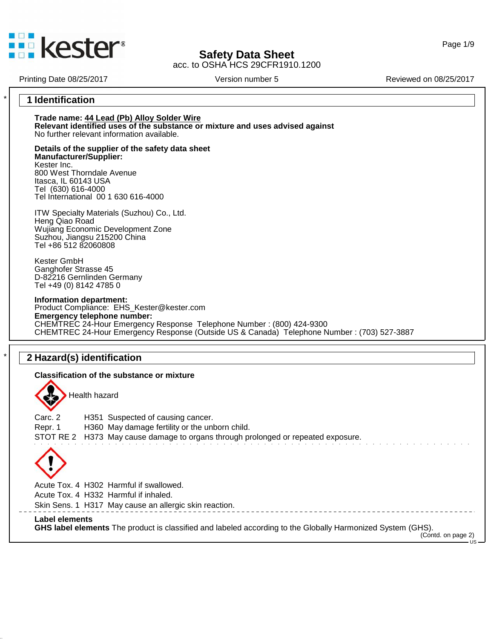

acc. to OSHA HCS 29CFR1910.1200

Page 1/9

Printing Date 08/25/2017 <br>
Version number 5 Reviewed on 08/25/2017

## \* **1 Identification**

**Trade name: 44 Lead (Pb) Alloy Solder Wire Relevant identified uses of the substance ormixture and uses advised against** No further relevant information available.

**Details of the supplier of the safety data sheet Manufacturer/Supplier:** Kester Inc. 800 West Thorndale Avenue Itasca, IL 60143 USA Tel (630) 616-4000 Tel International 00 1 630 616-4000

ITW Specialty Materials (Suzhou) Co., Ltd. Heng Qiao Road Wujiang Economic Development Zone Suzhou, Jiangsu 215200 China Tel +86 512 82060808

Kester GmbH Ganghofer Strasse 45 D-82216 Gernlinden Germany Tel +49 (0) 8142 4785 0

**Information department:** Product Compliance: EHS\_Kester@kester.com **Emergency telephone number:** CHEMTREC 24-Hour Emergency Response Telephone Number : (800) 424-9300 CHEMTREC 24-Hour Emergency Response (Outside US & Canada) Telephone Number : (703) 527-3887

## \* **2 Hazard(s) identification**

**Classification of the substance or mixture**

45.2.13

Health hazard

Carc. 2 H351 Suspected of causing cancer. Repr. 1 H360 May damage fertility or the unborn child. STOT RE 2 H373 May cause damage to organs through prolonged or repeated exposure.

Acute Tox. 4 H302 Harmful if swallowed.

Acute Tox. 4 H332 Harmful if inhaled.

Skin Sens. 1 H317 May cause an allergic skin reaction.

**Label elements GHS label elements** The product is classified and labeled according to the Globally Harmonized System (GHS).

(Contd. on page 2)

US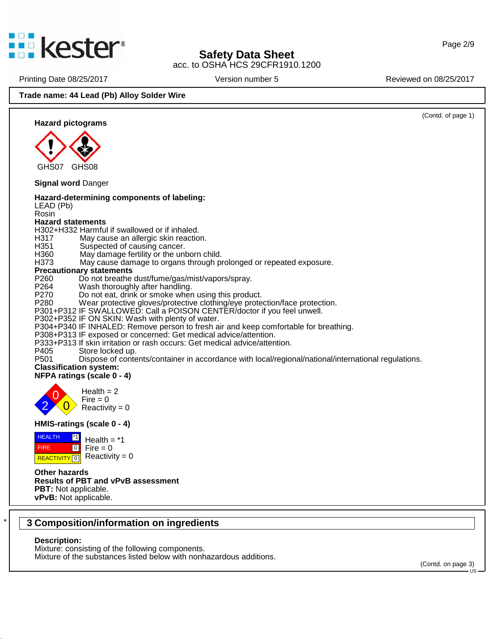

acc. to OSHA HCS 29CFR1910.1200

Printing Date 08/25/2017 **Version number 5** Reviewed on 08/25/2017

### **Trade name: 44 Lead (Pb) Alloy Solder Wire**



## \* **3 Composition/information on ingredients**

#### **Description:**

45.2.13

Mixture: consisting of the following components. Mixture of the substances listed below with nonhazardous additions.

(Contd. on page 3)US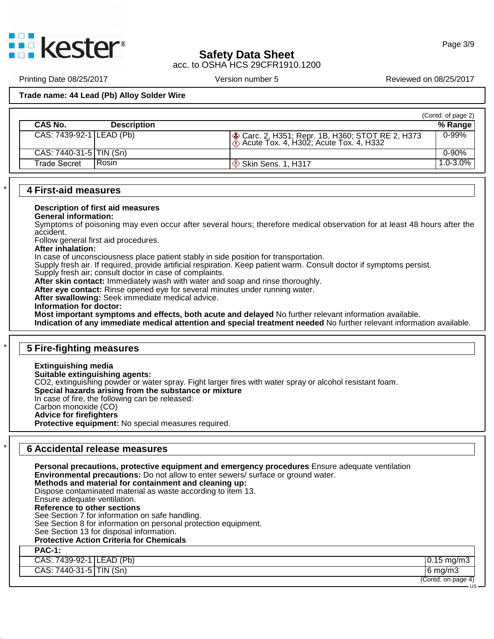

acc. to OSHA HCS 29CFR1910.1200

Printing Date 08/25/2017 **Version number 5** New Yors 2017 Reviewed on 08/25/2017

### **Trade name: 44 Lead (Pb) Alloy Solder Wire**

|                                |                                                                                                | (Contd. of page 2) |
|--------------------------------|------------------------------------------------------------------------------------------------|--------------------|
| CAS No.<br><b>Description</b>  |                                                                                                | % Range            |
| CAS: 7439-92-1 LEAD (Pb)       | ◆ Carc. 2, H351; Repr. 1B, H360; STOT RE 2, H373<br>  ◆ Acute Tox. 4, H302; Acute Tox. 4, H332 | $0 - 99%$          |
| CAS: 7440-31-5 TIN (Sn)        |                                                                                                | $0 - 90%$          |
| l Rosin<br><b>Trade Secret</b> | $\circ$ Skin Sens. 1, H317                                                                     | 1.0-3.0%           |

#### \* **4 First-aid measures**

#### **Description of first aid measures**

#### **General information:**

Symptoms of poisoning may even occur after several hours; therefore medical observation for at least 48 hours after the accident.

Follow general first aid procedures.

#### **After inhalation:**

In case of unconsciousness place patient stably in side position for transportation.

Supply fresh air. If required, provide artificial respiration. Keep patient warm. Consult doctor if symptoms persist.

Supply fresh air; consult doctor in case of complaints.

**After skin contact:** Immediately wash with water and soap and rinse thoroughly.

**After eye contact:** Rinse opened eye for several minutes under running water.

**After swallowing:** Seek immediate medical advice.

**Information for doctor:** 

**Most important symptoms and effects, both acute and delayed** No further relevant information available.

**Indication of any immediate medical attention and special treatment needed** No further relevant information available.

# \* **5 Fire-fighting measures**

**Extinguishing media Suitable extinguishing agents:** CO2, extinguishing powder or water spray. Fight larger fires with water spray or alcohol resistant foam. **Special hazards arising from the substance ormixture** In case of fire, the following can be released: Carbon monoxide (CO) **Advice for firefighters Protective equipment:** No special measures required.

## \* **6 Accidental release measures**

45.2.13

**Personal precautions, protective equipment and emergency procedures** Ensure adequate ventilation **Environmental precautions:** Do not allow to enter sewers/ surface or ground water. **Methods and material for containment and cleaning up:** Dispose contaminated material as waste according to item 13. Ensure adequate ventilation. **Reference to other sections** See Section 7 for information on safe handling. See Section 8 for information on personal protection equipment. See Section 13 for disposal information. **Protective Action Criteria for Chemicals PAC-1:** CAS: 7439-92-1 LEAD (Pb) 0.15 mg/m3 CAS: 7440-31-5 TIN (Sn) 6 mg/m3

(Contd. on page 4)

US —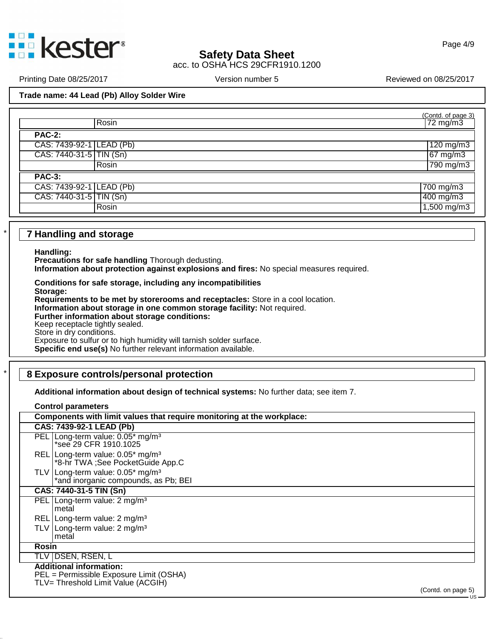

acc. to OSHA HCS 29CFR1910.1200

Printing Date 08/25/2017 **Version number 5** Reviewed on 08/25/2017

**Trade name: 44 Lead (Pb) Alloy Solder Wire**

| (Contd. of page 3) |
|--------------------|
| $72 \text{ mg/m3}$ |
|                    |
| $120$ mg/m3        |
| $67 \text{ mg/m}$  |
| 790 mg/m3          |
|                    |
| 700 mg/m3          |
| 400 mg/m3          |
| $1,500$ mg/m3      |
|                    |

### \* **7 Handling and storage**

**Handling:**

**Precautions for safe handling** Thorough dedusting.

**Information about protection against explosions and fires:** No special measures required.

**Conditions for safe storage, including any incompatibilities Storage: Requirements to be met by storerooms and receptacles:** Store in a cool location. **Information about storage in one common storage facility:** Not required. **Further information about storage conditions:** Keep receptacle tightly sealed. Store in dry conditions. Exposure to sulfur or to high humidity will tarnish solder surface. **Specific end use(s)** No further relevant information available.

# \* **8 Exposure controls/personal protection**

**Additional information about design of technical systems:** No further data; see item 7.

**Control parameters**

45.2.13

|       | Components with limit values that require monitoring at the workplace:                                                                                                     |
|-------|----------------------------------------------------------------------------------------------------------------------------------------------------------------------------|
|       | CAS: 7439-92-1 LEAD (Pb)                                                                                                                                                   |
|       | PEL   Long-term value: 0.05* mg/m <sup>3</sup><br>*see 29 CFR 1910.1025                                                                                                    |
|       | REL   Long-term value: 0.05* mg/m <sup>3</sup><br>*8-hr TWA ;See PocketGuide App.C                                                                                         |
|       | TLV Long-term value: $0.05*$ mg/m <sup>3</sup><br>*and inorganic compounds, as Pb; BEI                                                                                     |
|       | CAS: 7440-31-5 TIN (Sn)                                                                                                                                                    |
|       | PEL   Long-term value: 2 mg/m <sup>3</sup><br>metal                                                                                                                        |
|       | REL   Long-term value: 2 mg/m <sup>3</sup>                                                                                                                                 |
|       | TLV   Long-term value: 2 mg/m <sup>3</sup><br>metal                                                                                                                        |
| Rosin |                                                                                                                                                                            |
|       | TLV DSEN, RSEN, L                                                                                                                                                          |
|       | <b>Additional information:</b><br>PEL = Permissible Exposure Limit (OSHA)<br>TLV= Threshold Limit Value (ACGIH)<br>$\sqrt{2}$ and $\sqrt{2}$ and $\sqrt{2}$ and $\sqrt{2}$ |

(Contd. on page 5)US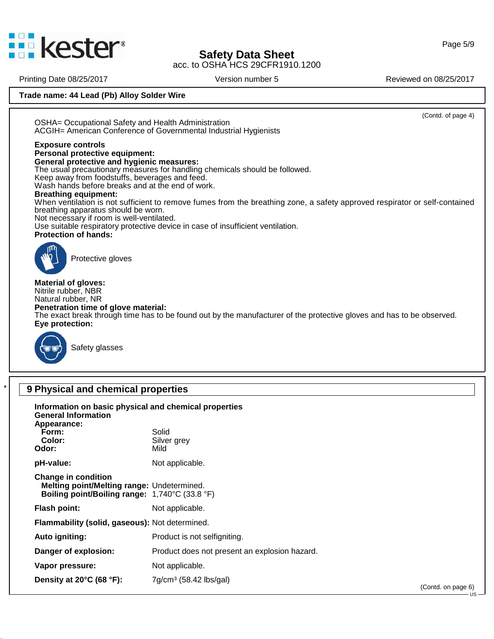

acc. to OSHA HCS 29CFR1910.1200

Printing Date 08/25/2017 **Version number 5** Reviewed on 08/25/2017

**Trade name: 44 Lead (Pb) Alloy Solder Wire**

(Contd. of page 4) OSHA= Occupational Safety and Health Administration ACGIH= American Conference of Governmental Industrial Hygienists **Exposure controls Personal protective equipment: General protective and hygienic measures:** The usual precautionary measures for handling chemicals should be followed. Keep away from foodstuffs, beverages and feed. Wash hands before breaks and at the end of work. **Breathing equipment:** When ventilation is not sufficient to remove fumes from the breathing zone, a safety approved respirator or self-contained breathing apparatus should be worn. Not necessary if room is well-ventilated. Use suitable respiratory protective device in case of insufficient ventilation. **Protection of hands:** Protective gloves **Material of gloves:** Nitrile rubber, NBR Natural rubber, NR **Penetration time of glove material:** The exact break through time has to be found out by the manufacturer of the protective gloves and has to be observed. **Eye protection:** Safety glasses \* **9 Physical and chemical properties Information on basic physical and chemical properties General Information Appearance:** Form: Solid **Color:** Silver grey<br> **Color:** Silver grey **Odor: pH-value:** Not applicable. **Change in condition Melting point/Melting range:** Undetermined. **Boiling point/Boiling range:** 1,740°C (33.8 °F) **Flash point:** Not applicable.

**Flammability (solid, gaseous):** Not determined.

**Auto igniting:** Product is not selfigniting.

45.2.13

**Danger of explosion:** Product does not present an explosion hazard.

**Vapor pressure:** Not applicable.

**Density at 20°C (68 °F):** 7g/cm³ (58.42 lbs/gal)

(Contd. on page 6)US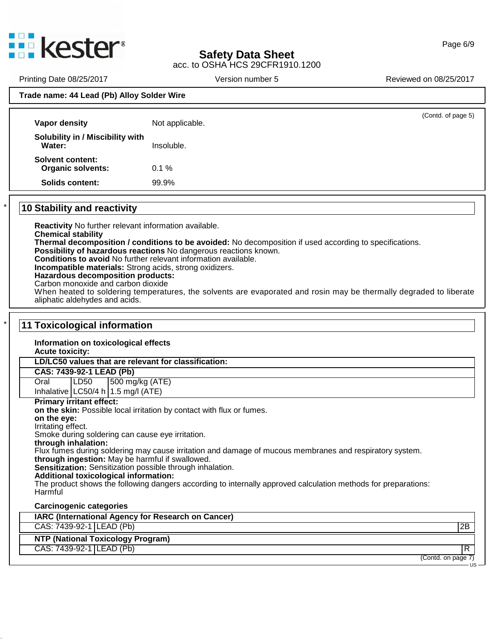

acc. to OSHA HCS 29CFR1910.1200

Printing Date 08/25/2017 **Version number 5** Reviewed on 08/25/2017

### **Trade name: 44 Lead (Pb) Alloy Solder Wire**

| Solubility in / Miscibility with<br>Water:<br>Insoluble.<br>Solvent content:<br><b>Organic solvents:</b><br>0.1%<br>99.9%<br>Solids content: | Vapor density | Not applicable. | (Contd. of page 5) |
|----------------------------------------------------------------------------------------------------------------------------------------------|---------------|-----------------|--------------------|
|                                                                                                                                              |               |                 |                    |
|                                                                                                                                              |               |                 |                    |
|                                                                                                                                              |               |                 |                    |

# \* **10 Stability and reactivity**

45.2.13

**Reactivity** No further relevant information available. **Chemical stability Thermal decomposition / conditions to be avoided:** No decomposition if used according to specifications. **Possibility of hazardous reactions** No dangerous reactions known. **Conditions to avoid** No further relevant information available. **Incompatible materials:** Strong acids, strong oxidizers. **Hazardous decomposition products:** Carbon monoxide and carbon dioxide When heated to soldering temperatures, the solvents are evaporated and rosin may be thermally degraded to liberate aliphatic aldehydes and acids.

## \* **11 Toxicological information Information on toxicological effects Acute toxicity: LD/LC50 values that are relevant for classification: CAS: 7439-92-1 LEAD (Pb)** Oral LD50 500 mg/kg (ATE) Inhalative  $|LC50/4 h|1.5 mg/l (ATE)$ **Primary irritant effect: on the skin:** Possible local irritation by contact with flux or fumes. **on the eye:** Irritating effect. Smoke during soldering can cause eye irritation. **through inhalation:** Flux fumes during soldering may cause irritation and damage of mucous membranes and respiratory system. **through ingestion:** May be harmful if swallowed. **Sensitization:** Sensitization possible through inhalation. **Additional toxicological information:** The product shows the following dangers according to internally approved calculation methods for preparations: Harmful **Carcinogenic categories**

| IARC (International Agency for Research on Cancer) |                    |
|----------------------------------------------------|--------------------|
| CAS: 7439-92-1 LEAD (Pb)                           | 2B                 |
| <b>NTP (National Toxicology Program)</b>           |                    |
| CAS: 7439-92-1 LEAD (Pb)                           |                    |
|                                                    | (Contd. on page 7) |
|                                                    |                    |

### Page 6/9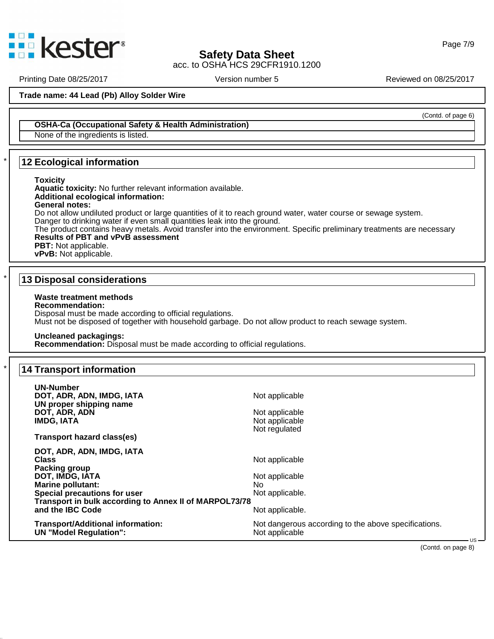

acc. to OSHA HCS 29CFR1910.1200

Page 7/9

(Contd. of page 6)

Printing Date 08/25/2017 **Version number 5** New York Reviewed on 08/25/2017

**Trade name: 44 Lead (Pb) Alloy Solder Wire**

**OSHA-Ca (Occupational Safety & Health Administration)**

None of the ingredients is listed.

# \* **12 Ecological information**

#### **Toxicity**

**Aquatic toxicity:** No further relevant information available. **Additional ecological information: General notes:** Do not allow undiluted product or large quantities of it to reach ground water, water course or sewage system.

Danger to drinking water if even small quantities leak into the ground. The product contains heavy metals. Avoid transfer into the environment. Specific preliminary treatments are necessary

**Results of PBT and vPvB assessment**

**PBT:** Not applicable.

# **vPvB:** Not applicable.

### \* **13 Disposal considerations**

### **Waste treatment methods**

#### **Recommendation:**

Disposal must be made according to official regulations. Must not be disposed of together with household garbage. Do not allow product to reach sewage system.

### **Uncleaned packagings:**

**Recommendation:** Disposal must be made according to official regulations.

## \* **14 Transport information**

45.2.13

| UN-Number<br>DOT, ADR, ADN, IMDG, IATA<br>UN proper shipping name<br>DOT, ADR, ADN<br><b>IMDG, IATA</b>                                                                                                                 | Not applicable<br>Not applicable<br>Not applicable<br>Not regulated              |  |
|-------------------------------------------------------------------------------------------------------------------------------------------------------------------------------------------------------------------------|----------------------------------------------------------------------------------|--|
| Transport hazard class(es)                                                                                                                                                                                              |                                                                                  |  |
| DOT, ADR, ADN, IMDG, IATA<br>Class<br><b>Packing group</b><br>DOT, IMDG, IATA<br><b>Marine pollutant:</b><br>Special precautions for user<br>Transport in bulk according to Annex II of MARPOL73/78<br>and the IBC Code | Not applicable<br>Not applicable<br>No<br>Not applicable.<br>Not applicable.     |  |
| Transport/Additional information:<br><b>UN "Model Regulation":</b>                                                                                                                                                      | Not dangerous according to the above specifications.<br>Not applicable<br>$US -$ |  |

(Contd. on page 8)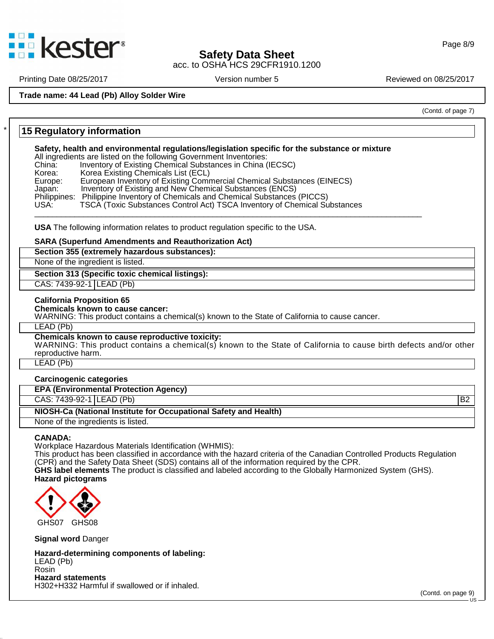

acc. to OSHA HCS 29CFR1910.1200

Printing Date 08/25/2017 **Version number 5** New Yors 2017 Reviewed on 08/25/2017

**Trade name: 44 Lead (Pb) Alloy Solder Wire**

(Contd. of page 7)

# \* **15 Regulatory information**

**Safety, health and environmental regulations/legislation specific for the substance or mixture**

All ingredients are listed on the following Government Inventories:

China: Inventory of Existing Chemical Substances in China (IECSC)<br>Korea: Korea Existing Chemicals List (ECL)

Korea: Korea Existing Chemicals List (ECL)<br>Europe: European Inventory of Existing Comr Europe: European Inventory of Existing Commercial Chemical Substances (EINECS)<br>Japan: Inventory of Existing and New Chemical Substances (ENCS)

- Inventory of Existing and New Chemical Substances (ENCS)
- Philippines: Philippine Inventory of Chemicals and Chemical Substances (PICCS)

USA: TSCA (Toxic Substances Control Act) TSCA Inventory of Chemical Substances \_\_\_\_\_\_\_\_\_\_\_\_\_\_\_\_\_\_\_\_\_\_\_\_\_\_\_\_\_\_\_\_\_\_\_\_\_\_\_\_\_\_\_\_\_\_\_\_\_\_\_\_\_\_\_\_\_\_\_\_\_\_\_\_\_\_\_\_\_\_\_\_\_\_\_\_\_\_\_\_\_\_\_\_\_\_\_

**USA** The following information relates to product regulation specific to the USA.

#### **SARA (Superfund Amendments and Reauthorization Act)**

**Section 355 (extremely hazardous substances):**

None of the ingredient is listed.

### **Section 313 (Specific toxic chemical listings):**

CAS: 7439-92-1 LEAD (Pb)

#### **California Proposition 65**

**Chemicals known to cause cancer:**

WARNING: This product contains a chemical(s) known to the State of California to cause cancer.

#### LEAD (Pb)

#### **Chemicals known to cause reproductive toxicity:**

WARNING: This product contains a chemical(s) known to the State of California to cause birth defects and/or other reproductive harm.

LEAD (Pb)

| <b>Carcinogenic categories</b>                                   |                 |  |
|------------------------------------------------------------------|-----------------|--|
| <b>EPA (Environmental Protection Agency)</b>                     |                 |  |
| CAS: 7439-92-1 LEAD (Pb)                                         | IB <sub>2</sub> |  |
| NIOSH-Ca (National Institute for Occupational Safety and Health) |                 |  |
| None of the ingredients is listed.                               |                 |  |

#### **CANADA:**

45.2.13

Workplace Hazardous Materials Identification (WHMIS):

This product has been classified in accordance with the hazard criteria of the Canadian Controlled Products Regulation (CPR) and the Safety Data Sheet (SDS) contains all of the information required by the CPR.

**GHS label elements** The product is classified and labeled according to the Globally Harmonized System (GHS). **Hazard pictograms**



**Signal word** Danger

**Hazard-determining components of labeling:** LEAD (Pb) Rosin **Hazard statements** H302+H332 Harmful if swallowed or if inhaled.